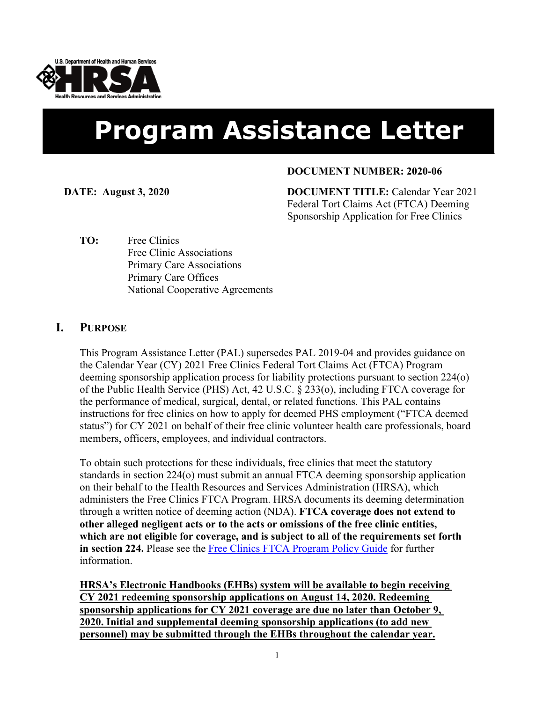

# **Program Assistance Letter**

### **DOCUMENT NUMBER: 2020-06**

**DATE: August 3, 2020 DOCUMENT TITLE:** Calendar Year 2021 Federal Tort Claims Act (FTCA) Deeming Sponsorship Application for Free Clinics

**TO:** Free Clinics Free Clinic Associations Primary Care Associations Primary Care Offices National Cooperative Agreements

## **I. PURPOSE**

This Program Assistance Letter (PAL) supersedes PAL 2019-04 and provides guidance on the Calendar Year (CY) 2021 Free Clinics Federal Tort Claims Act (FTCA) Program deeming sponsorship application process for liability protections pursuant to section 224(o) of the Public Health Service (PHS) Act, 42 U.S.C. § 233(o), including FTCA coverage for the performance of medical, surgical, dental, or related functions. This PAL contains instructions for free clinics on how to apply for deemed PHS employment ("FTCA deemed status") for CY 2021 on behalf of their free clinic volunteer health care professionals, board members, officers, employees, and individual contractors.

To obtain such protections for these individuals, free clinics that meet the statutory standards in section 224(o) must submit an annual FTCA deeming sponsorship application on their behalf to the Health Resources and Services Administration (HRSA), which administers the Free Clinics FTCA Program. HRSA documents its deeming determination through a written notice of deeming action (NDA). **FTCA coverage does not extend to other alleged negligent acts or to the acts or omissions of the free clinic entities, which are not eligible for coverage, and is subject to all of the requirements set forth in section 224.** Please see the [Free Clinics FTCA Program Policy Guide](https://bphc.hrsa.gov/ftca/freeclinics/policies.html) for further information.

**HRSA's Electronic Handbooks (EHBs) system will be available to begin receiving CY 2021 redeeming sponsorship applications on August 14, 2020. Redeeming sponsorship applications for CY 2021 coverage are due no later than October 9, 2020. Initial and supplemental deeming sponsorship applications (to add new personnel) may be submitted through the EHBs throughout the calendar year.**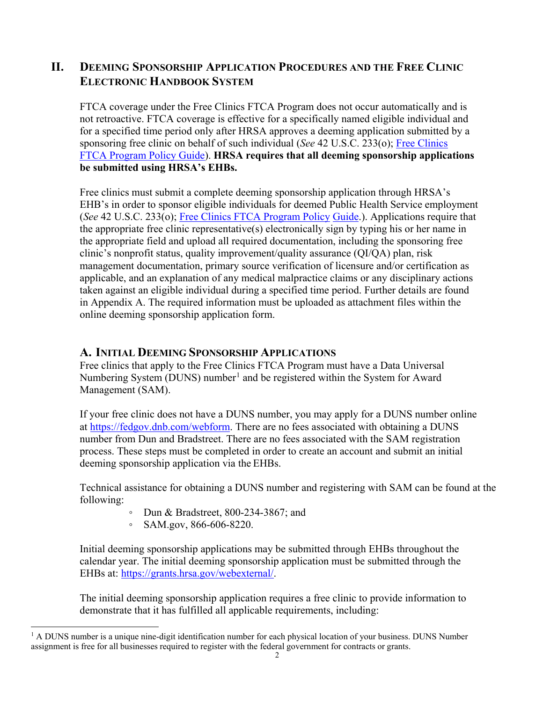# **II. DEEMING SPONSORSHIP APPLICATION PROCEDURES AND THE FREE CLINIC ELECTRONIC HANDBOOK SYSTEM**

FTCA coverage under the Free Clinics FTCA Program does not occur automatically and is not retroactive. FTCA coverage is effective for a specifically named eligible individual and for a specified time period only after HRSA approves a deeming application submitted by a sponsoring free clinic on behalf of such individual (*See* 42 U.S.C. 233(o); [Free Clinics](https://bphc.hrsa.gov/ftca/freeclinics/policies.html) [FTCA Program Policy Guide](https://bphc.hrsa.gov/ftca/freeclinics/policies.html)). **HRSA requires that all deeming sponsorship applications be submitted using HRSA's EHBs.** 

Free clinics must submit a complete deeming sponsorship application through HRSA's EHB's in order to sponsor eligible individuals for deemed Public Health Service employment (*See* 42 U.S.C. 233(o); [Free Clinics FTCA Program Policy Guide.](https://bphc.hrsa.gov/ftca/freeclinics/policies.html)). Applications require that the appropriate free clinic representative(s) electronically sign by typing his or her name in the appropriate field and upload all required documentation, including the sponsoring free clinic's nonprofit status, quality improvement/quality assurance (QI/QA) plan, risk management documentation, primary source verification of licensure and/or certification as applicable, and an explanation of any medical malpractice claims or any disciplinary actions taken against an eligible individual during a specified time period. Further details are found in Appendix A. The required information must be uploaded as attachment files within the online deeming sponsorship application form.

## **A. INITIAL DEEMING SPONSORSHIP APPLICATIONS**

Free clinics that apply to the Free Clinics FTCA Program must have a Data Universal Numbering System (DUNS) number<sup>[1](#page-1-0)</sup> and be registered within the System for Award Management (SAM).

If your free clinic does not have a DUNS number, you may apply for a DUNS number online at [https://fedgov.dnb.com/webform.](https://fedgov.dnb.com/webform) There are no fees associated with obtaining a DUNS number from Dun and Bradstreet. There are no fees associated with the SAM registration process. These steps must be completed in order to create an account and submit an initial deeming sponsorship application via the EHBs.

Technical assistance for obtaining a DUNS number and registering with SAM can be found at the following:

- Dun & Bradstreet, 800-234-3867; and
- SAM.gov, 866-606-8220.

Initial deeming sponsorship applications may be submitted through EHBs throughout the calendar year. The initial deeming sponsorship application must be submitted through the EHBs at:<https://grants.hrsa.gov/webexternal/>.

The initial deeming sponsorship application requires a free clinic to provide information to demonstrate that it has fulfilled all applicable requirements, including:

<span id="page-1-0"></span>l  $<sup>1</sup>$  A DUNS number is a unique nine-digit identification number for each physical location of your business. DUNS Number</sup> assignment is free for all businesses required to register with the federal government for contracts or grants.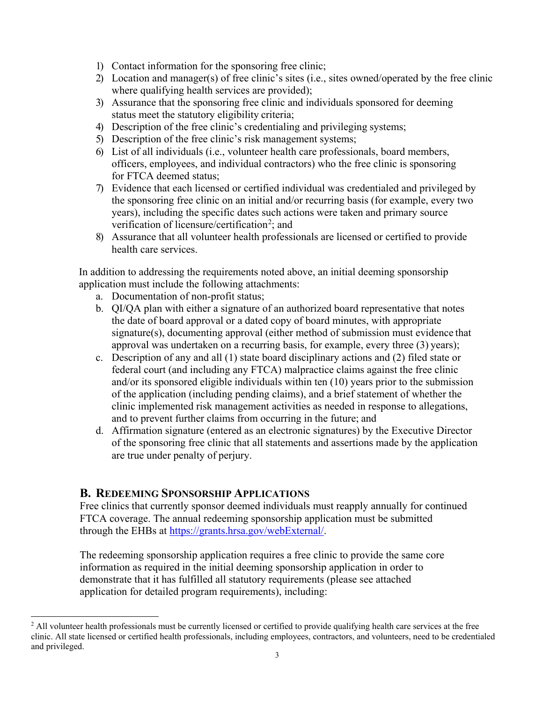- 1) Contact information for the sponsoring free clinic;
- 2) Location and manager(s) of free clinic's sites (i.e., sites owned/operated by the free clinic where qualifying health services are provided);
- 3) Assurance that the sponsoring free clinic and individuals sponsored for deeming status meet the statutory eligibility criteria;
- 4) Description of the free clinic's credentialing and privileging systems;
- 5) Description of the free clinic's risk management systems;
- 6) List of all individuals (i.e., volunteer health care professionals, board members, officers, employees, and individual contractors) who the free clinic is sponsoring for FTCA deemed status;
- 7) Evidence that each licensed or certified individual was credentialed and privileged by the sponsoring free clinic on an initial and/or recurring basis (for example, every two years), including the specific dates such actions were taken and primary source verification of licensure/certification<sup>[2](#page-2-0)</sup>; and
- 8) Assurance that all volunteer health professionals are licensed or certified to provide health care services.

In addition to addressing the requirements noted above, an initial deeming sponsorship application must include the following attachments:

- a. Documentation of non-profit status;
- b. QI/QA plan with either a signature of an authorized board representative that notes the date of board approval or a dated copy of board minutes, with appropriate signature(s), documenting approval (either method of submission must evidence that approval was undertaken on a recurring basis, for example, every three (3) years);
- c. Description of any and all (1) state board disciplinary actions and (2) filed state or federal court (and including any FTCA) malpractice claims against the free clinic and/or its sponsored eligible individuals within ten (10) years prior to the submission of the application (including pending claims), and a brief statement of whether the clinic implemented risk management activities as needed in response to allegations, and to prevent further claims from occurring in the future; and
- d. Affirmation signature (entered as an electronic signatures) by the Executive Director of the sponsoring free clinic that all statements and assertions made by the application are true under penalty of perjury.

## **B. REDEEMING SPONSORSHIP APPLICATIONS**

 $\overline{a}$ 

Free clinics that currently sponsor deemed individuals must reapply annually for continued FTCA coverage. The annual redeeming sponsorship application must be submitted through the EHBs at [https://grants.hrsa.gov/webExternal/](https://grants.hrsa.gov/webexternal/).

The redeeming sponsorship application requires a free clinic to provide the same core information as required in the initial deeming sponsorship application in order to demonstrate that it has fulfilled all statutory requirements (please see attached application for detailed program requirements), including:

<span id="page-2-0"></span> $<sup>2</sup>$  All volunteer health professionals must be currently licensed or certified to provide qualifying health care services at the free</sup> clinic. All state licensed or certified health professionals, including employees, contractors, and volunteers, need to be credentialed and privileged.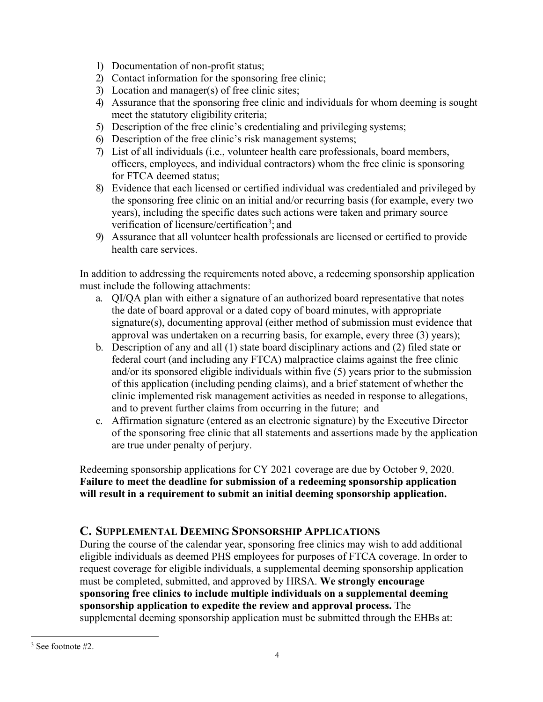- 1) Documentation of non-profit status;
- 2) Contact information for the sponsoring free clinic;
- 3) Location and manager(s) of free clinic sites;
- 4) Assurance that the sponsoring free clinic and individuals for whom deeming is sought meet the statutory eligibility criteria;
- 5) Description of the free clinic's credentialing and privileging systems;
- 6) Description of the free clinic's risk management systems;
- 7) List of all individuals (i.e., volunteer health care professionals, board members, officers, employees, and individual contractors) whom the free clinic is sponsoring for FTCA deemed status;
- 8) Evidence that each licensed or certified individual was credentialed and privileged by the sponsoring free clinic on an initial and/or recurring basis (for example, every two years), including the specific dates such actions were taken and primary source verification of licensure/certification<sup>[3](#page-3-0)</sup>; and
- 9) Assurance that all volunteer health professionals are licensed or certified to provide health care services.

In addition to addressing the requirements noted above, a redeeming sponsorship application must include the following attachments:

- a. QI/QA plan with either a signature of an authorized board representative that notes the date of board approval or a dated copy of board minutes, with appropriate signature(s), documenting approval (either method of submission must evidence that approval was undertaken on a recurring basis, for example, every three (3) years);
- b. Description of any and all (1) state board disciplinary actions and (2) filed state or federal court (and including any FTCA) malpractice claims against the free clinic and/or its sponsored eligible individuals within five (5) years prior to the submission of this application (including pending claims), and a brief statement of whether the clinic implemented risk management activities as needed in response to allegations, and to prevent further claims from occurring in the future; and
- c. Affirmation signature (entered as an electronic signature) by the Executive Director of the sponsoring free clinic that all statements and assertions made by the application are true under penalty of perjury.

Redeeming sponsorship applications for CY 2021 coverage are due by October 9, 2020. **Failure to meet the deadline for submission of a redeeming sponsorship application will result in a requirement to submit an initial deeming sponsorship application.**

# **C. SUPPLEMENTAL DEEMING SPONSORSHIP APPLICATIONS**

During the course of the calendar year, sponsoring free clinics may wish to add additional eligible individuals as deemed PHS employees for purposes of FTCA coverage. In order to request coverage for eligible individuals, a supplemental deeming sponsorship application must be completed, submitted, and approved by HRSA. **We strongly encourage sponsoring free clinics to include multiple individuals on a supplemental deeming sponsorship application to expedite the review and approval process.** The supplemental deeming sponsorship application must be submitted through the EHBs at:

<span id="page-3-0"></span> $\overline{a}$  $3$  See footnote #2.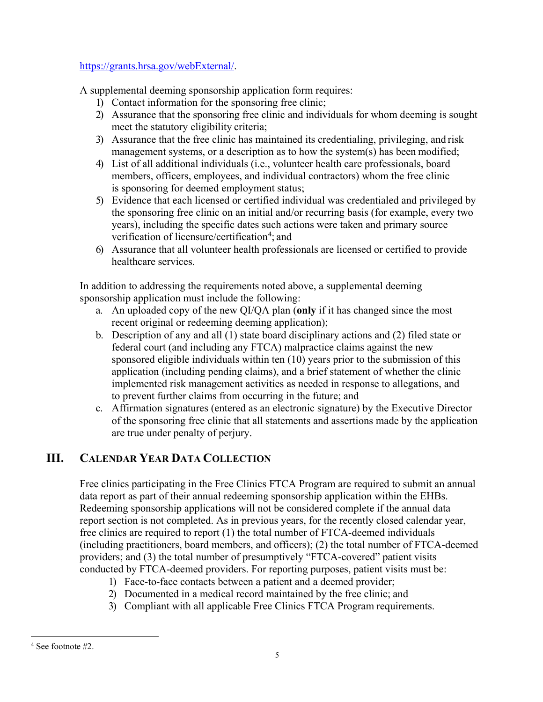## <https://grants.hrsa.gov/webExternal/>.

A supplemental deeming sponsorship application form requires:

- 1) Contact information for the sponsoring free clinic;
- 2) Assurance that the sponsoring free clinic and individuals for whom deeming is sought meet the statutory eligibility criteria;
- 3) Assurance that the free clinic has maintained its credentialing, privileging, and risk management systems, or a description as to how the system(s) has been modified;
- 4) List of all additional individuals (i.e., volunteer health care professionals, board members, officers, employees, and individual contractors) whom the free clinic is sponsoring for deemed employment status;
- 5) Evidence that each licensed or certified individual was credentialed and privileged by the sponsoring free clinic on an initial and/or recurring basis (for example, every two years), including the specific dates such actions were taken and primary source verification of licensure/certification<sup>[4](#page-4-0)</sup>; and
- 6) Assurance that all volunteer health professionals are licensed or certified to provide healthcare services.

In addition to addressing the requirements noted above, a supplemental deeming sponsorship application must include the following:

- a. An uploaded copy of the new QI/QA plan (**only** if it has changed since the most recent original or redeeming deeming application);
- b. Description of any and all (1) state board disciplinary actions and (2) filed state or federal court (and including any FTCA) malpractice claims against the new sponsored eligible individuals within ten (10) years prior to the submission of this application (including pending claims), and a brief statement of whether the clinic implemented risk management activities as needed in response to allegations, and to prevent further claims from occurring in the future; and
- c. Affirmation signatures (entered as an electronic signature) by the Executive Director of the sponsoring free clinic that all statements and assertions made by the application are true under penalty of perjury.

# **III. CALENDAR YEAR DATA COLLECTION**

Free clinics participating in the Free Clinics FTCA Program are required to submit an annual data report as part of their annual redeeming sponsorship application within the EHBs. Redeeming sponsorship applications will not be considered complete if the annual data report section is not completed. As in previous years, for the recently closed calendar year, free clinics are required to report (1) the total number of FTCA-deemed individuals (including practitioners, board members, and officers); (2) the total number of FTCA-deemed providers; and (3) the total number of presumptively "FTCA-covered" patient visits conducted by FTCA-deemed providers. For reporting purposes, patient visits must be:

- 1) Face-to-face contacts between a patient and a deemed provider;
- 2) Documented in a medical record maintained by the free clinic; and
- 3) Compliant with all applicable Free Clinics FTCA Program requirements.

<span id="page-4-0"></span> $\overline{a}$ <sup>4</sup> See footnote #2.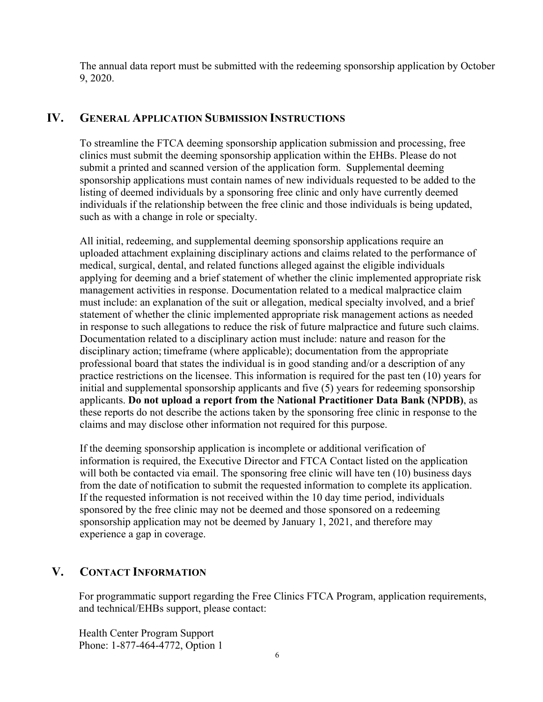The annual data report must be submitted with the redeeming sponsorship application by October 9, 2020.

## **IV. GENERAL APPLICATION SUBMISSION INSTRUCTIONS**

To streamline the FTCA deeming sponsorship application submission and processing, free clinics must submit the deeming sponsorship application within the EHBs. Please do not submit a printed and scanned version of the application form. Supplemental deeming sponsorship applications must contain names of new individuals requested to be added to the listing of deemed individuals by a sponsoring free clinic and only have currently deemed individuals if the relationship between the free clinic and those individuals is being updated, such as with a change in role or specialty.

All initial, redeeming, and supplemental deeming sponsorship applications require an uploaded attachment explaining disciplinary actions and claims related to the performance of medical, surgical, dental, and related functions alleged against the eligible individuals applying for deeming and a brief statement of whether the clinic implemented appropriate risk management activities in response. Documentation related to a medical malpractice claim must include: an explanation of the suit or allegation, medical specialty involved, and a brief statement of whether the clinic implemented appropriate risk management actions as needed in response to such allegations to reduce the risk of future malpractice and future such claims. Documentation related to a disciplinary action must include: nature and reason for the disciplinary action; timeframe (where applicable); documentation from the appropriate professional board that states the individual is in good standing and/or a description of any practice restrictions on the licensee. This information is required for the past ten (10) years for initial and supplemental sponsorship applicants and five (5) years for redeeming sponsorship applicants. **Do not upload a report from the National Practitioner Data Bank (NPDB)**, as these reports do not describe the actions taken by the sponsoring free clinic in response to the claims and may disclose other information not required for this purpose.

If the deeming sponsorship application is incomplete or additional verification of information is required, the Executive Director and FTCA Contact listed on the application will both be contacted via email. The sponsoring free clinic will have ten (10) business days from the date of notification to submit the requested information to complete its application. If the requested information is not received within the 10 day time period, individuals sponsored by the free clinic may not be deemed and those sponsored on a redeeming sponsorship application may not be deemed by January 1, 2021, and therefore may experience a gap in coverage.

# **V. CONTACT INFORMATION**

For programmatic support regarding the Free Clinics FTCA Program, application requirements, and technical/EHBs support, please contact:

Health Center Program Support Phone: 1-877-464-4772, Option 1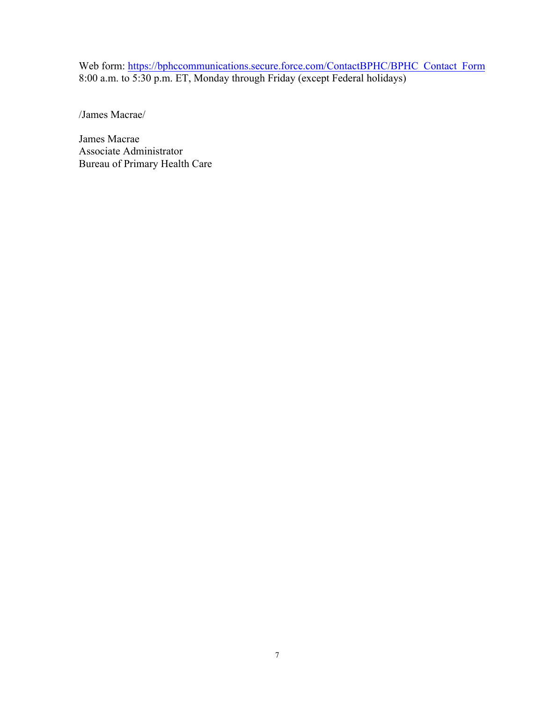Web form: [https://bphccommunications.secure.force.com/ContactBPHC/BPHC\\_Contact\\_Form](https://bphccommunications.secure.force.com/ContactBPHC/BPHC_Contact_Form) 8:00 a.m. to 5:30 p.m. ET, Monday through Friday (except Federal holidays)

/James Macrae/

James Macrae Associate Administrator Bureau of Primary Health Care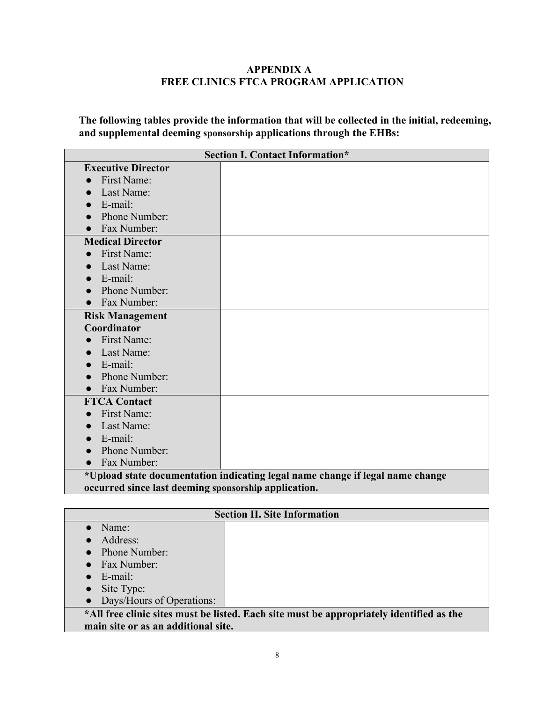#### **APPENDIX A FREE CLINICS FTCA PROGRAM APPLICATION**

**The following tables provide the information that will be collected in the initial, redeeming, and supplemental deeming sponsorship applications through the EHBs:**

|                                                      | <b>Section I. Contact Information*</b>                                        |
|------------------------------------------------------|-------------------------------------------------------------------------------|
| <b>Executive Director</b>                            |                                                                               |
| First Name:                                          |                                                                               |
| Last Name:                                           |                                                                               |
| E-mail:                                              |                                                                               |
| Phone Number:                                        |                                                                               |
| Fax Number:                                          |                                                                               |
| <b>Medical Director</b>                              |                                                                               |
| First Name:                                          |                                                                               |
| Last Name:                                           |                                                                               |
| E-mail:                                              |                                                                               |
| Phone Number:                                        |                                                                               |
| Fax Number:                                          |                                                                               |
| <b>Risk Management</b>                               |                                                                               |
| Coordinator                                          |                                                                               |
| First Name:                                          |                                                                               |
| Last Name:                                           |                                                                               |
| $E$ -mail:                                           |                                                                               |
| Phone Number:                                        |                                                                               |
| Fax Number:                                          |                                                                               |
| <b>FTCA Contact</b>                                  |                                                                               |
| First Name:                                          |                                                                               |
| Last Name:                                           |                                                                               |
| E-mail:                                              |                                                                               |
| Phone Number:                                        |                                                                               |
| Fax Number:                                          |                                                                               |
|                                                      | *Upload state documentation indicating legal name change if legal name change |
| occurred since last deeming sponsorship application. |                                                                               |

|                                     | <b>Section II. Site Information</b>                                                      |
|-------------------------------------|------------------------------------------------------------------------------------------|
| Name:                               |                                                                                          |
| Address:                            |                                                                                          |
| <b>Phone Number:</b>                |                                                                                          |
| Fax Number:                         |                                                                                          |
| E-mail:                             |                                                                                          |
| Site Type:                          |                                                                                          |
| • Days/Hours of Operations:         |                                                                                          |
|                                     | *All free clinic sites must be listed. Each site must be appropriately identified as the |
| main site or as an additional site. |                                                                                          |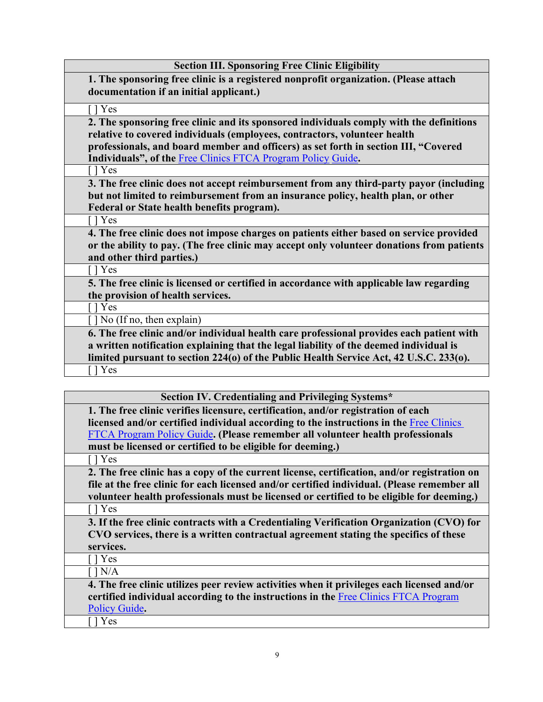| <b>Section III. Sponsoring Free Clinic Eligibility</b>                                    |
|-------------------------------------------------------------------------------------------|
| 1. The sponsoring free clinic is a registered nonprofit organization. (Please attach      |
| documentation if an initial applicant.)                                                   |
| $\lceil \cdot \rceil$ Yes                                                                 |
| 2. The sponsoring free clinic and its sponsored individuals comply with the definitions   |
| relative to covered individuals (employees, contractors, volunteer health                 |
| professionals, and board member and officers) as set forth in section III, "Covered       |
| <b>Individuals", of the Free Clinics FTCA Program Policy Guide.</b>                       |
| $\lceil$   Yes                                                                            |
| 3. The free clinic does not accept reimbursement from any third-party payor (including    |
| but not limited to reimbursement from an insurance policy, health plan, or other          |
| Federal or State health benefits program).                                                |
| $[$   Yes                                                                                 |
| 4. The free clinic does not impose charges on patients either based on service provided   |
| or the ability to pay. (The free clinic may accept only volunteer donations from patients |
| and other third parties.)                                                                 |
| $[$   Yes                                                                                 |
| 5. The free clinic is licensed or certified in accordance with applicable law regarding   |
| the provision of health services.                                                         |
| $\lceil$   Yes                                                                            |
| $\lceil \cdot \rceil$ No (If no, then explain)                                            |
| 6. The free clinic and/or individual health care professional provides each patient with  |
| a written notification explaining that the legal liability of the deemed individual is    |
| limited pursuant to section 224(0) of the Public Health Service Act, 42 U.S.C. 233(0).    |
| [ ] Yes                                                                                   |
|                                                                                           |

| Section IV. Credentialing and Privileging Systems*                                          |
|---------------------------------------------------------------------------------------------|
| 1. The free clinic verifies licensure, certification, and/or registration of each           |
| licensed and/or certified individual according to the instructions in the Free Clinics      |
| FTCA Program Policy Guide. (Please remember all volunteer health professionals              |
| must be licensed or certified to be eligible for deeming.)                                  |
| Yes                                                                                         |
| 2. The free clinic has a copy of the current license, certification, and/or registration on |
| file at the free clinic for each licensed and/or certified individual. (Please remember all |
| volunteer health professionals must be licensed or certified to be eligible for deeming.)   |
| $\lceil$ Yes                                                                                |
| 3. If the free clinic contracts with a Credentialing Verification Organization (CVO) for    |
| CVO services, there is a written contractual agreement stating the specifics of these       |
| services.                                                                                   |
| 1 Yes                                                                                       |
| $\lceil$ $\rceil$ $N/A$                                                                     |
| 4. The free clinic utilizes peer review activities when it privileges each licensed and/or  |
| certified individual according to the instructions in the Free Clinics FTCA Program         |
| Policy Guide.                                                                               |
| Yes                                                                                         |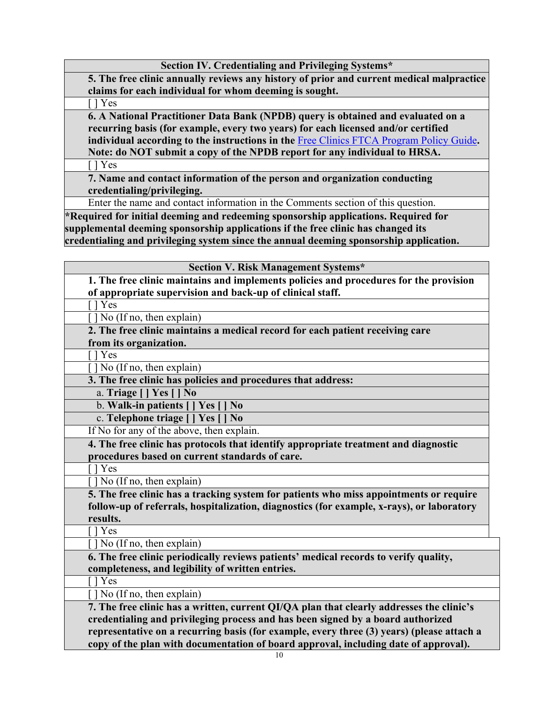| 5. The free clinic annually reviews any history of prior and current medical malpractice              |
|-------------------------------------------------------------------------------------------------------|
| claims for each individual for whom deeming is sought.                                                |
| $[$   Yes                                                                                             |
| 6. A National Practitioner Data Bank (NPDB) query is obtained and evaluated on a                      |
| recurring basis (for example, every two years) for each licensed and/or certified                     |
| individual according to the instructions in the Free Clinics FTCA Program Policy Guide.               |
| Note: do NOT submit a copy of the NPDB report for any individual to HRSA.                             |
| [ ] Yes                                                                                               |
| 7. Name and contact information of the person and organization conducting                             |
| credentialing/privileging.                                                                            |
| Enter the name and contact information in the Comments section of this question.                      |
| $*$ Required for initial deeming and redeeming sponsorship applications. Required for                 |
| supplemental deeming sponsorship applications if the free clinic has changed its                      |
| credentialing and privileging system since the annual deeming sponsorship application.                |
|                                                                                                       |
| <b>Section V. Risk Management Systems*</b>                                                            |
| 1. The free clinic maintains and implements policies and procedures for the provision                 |
| of appropriate supervision and back-up of clinical staff.                                             |
| $\lceil \cdot \rceil$ Yes                                                                             |
| $\lceil \cdot \rceil$ No (If no, then explain)                                                        |
| 2. The free clinic maintains a medical record for each patient receiving care                         |
| from its organization.                                                                                |
| [ ] Yes                                                                                               |
| [] No (If no, then explain)                                                                           |
| 3. The free clinic has policies and procedures that address:                                          |
| a. Triage [   Yes [   No                                                                              |
| b. Walk-in patients [] Yes [<br>N <sub>0</sub>                                                        |
| c. Telephone triage [ ] Yes [<br>N <sub>0</sub>                                                       |
| If No for any of the above, then explain.                                                             |
| 4. The free clinic has protocols that identify appropriate treatment and diagnostic                   |
| procedures based on current standards of care.                                                        |
| [] Yes<br>] No (If no, then explain)                                                                  |
|                                                                                                       |
| 5. The free clinic has a tracking system for patients who miss appointments or require                |
| follow-up of referrals, hospitalization, diagnostics (for example, x-rays), or laboratory<br>results. |
| $\lceil \cdot \rceil$ Yes                                                                             |
| No (If no, then explain)                                                                              |
| 6. The free clinic periodically reviews patients' medical records to verify quality,                  |
| completeness, and legibility of written entries.                                                      |
| [ ] Yes                                                                                               |
| $\lceil \cdot \rceil$ No (If no, then explain)                                                        |
| 7. The free clinic has a written, current QI/QA plan that clearly addresses the clinic's              |
| credentialing and privileging process and has been signed by a board authorized                       |
| representative on a recurring basis (for example, every three (3) years) (please attach a             |
| copy of the plan with documentation of board approval, including date of approval).                   |
| 10                                                                                                    |

**Section IV. Credentialing and Privileging Systems\***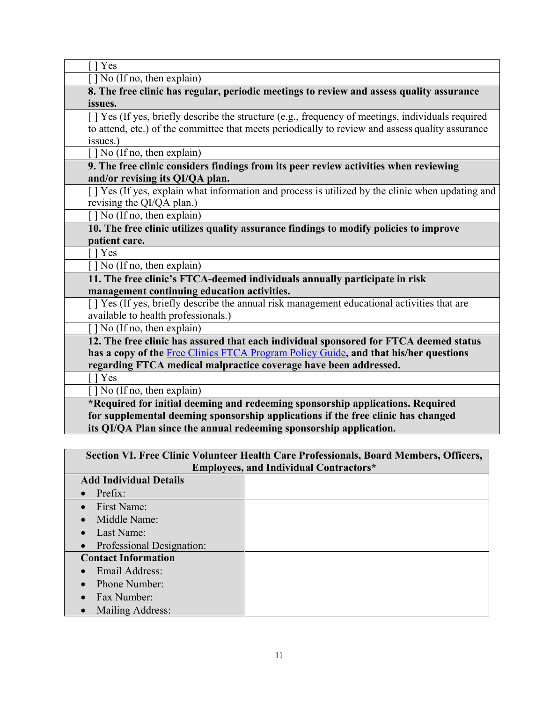| Yes                                                                                               |
|---------------------------------------------------------------------------------------------------|
| $\lceil \cdot \rceil$ No (If no, then explain)                                                    |
| 8. The free clinic has regular, periodic meetings to review and assess quality assurance          |
| issues.                                                                                           |
| [] Yes (If yes, briefly describe the structure (e.g., frequency of meetings, individuals required |
| to attend, etc.) of the committee that meets periodically to review and assess quality assurance  |
| issues.)                                                                                          |
| $\lceil \cdot \rceil$ No (If no, then explain)                                                    |
| 9. The free clinic considers findings from its peer review activities when reviewing              |
| and/or revising its QI/QA plan.                                                                   |
| [] Yes (If yes, explain what information and process is utilized by the clinic when updating and  |
| revising the QI/QA plan.)                                                                         |
| [] No (If no, then explain)                                                                       |
| 10. The free clinic utilizes quality assurance findings to modify policies to improve             |
| patient care.                                                                                     |
| I l Yes                                                                                           |
| [] No (If no, then explain)                                                                       |
| 11. The free clinic's FTCA-deemed individuals annually participate in risk                        |
| management continuing education activities.                                                       |
| [] Yes (If yes, briefly describe the annual risk management educational activities that are       |
| available to health professionals.)                                                               |
| [] No (If no, then explain)                                                                       |
| 12. The free clinic has assured that each individual sponsored for FTCA deemed status             |
| has a copy of the Free Clinics FTCA Program Policy Guide, and that his/her questions              |
| regarding FTCA medical malpractice coverage have been addressed.                                  |
| I l Yes                                                                                           |
| $\lceil \cdot \rceil$ No (If no, then explain)                                                    |
| *Required for initial deeming and redeeming sponsorship applications. Required                    |
| for supplemental deeming sponsorship applications if the free clinic has changed                  |
| its QI/QA Plan since the annual redeeming sponsorship application.                                |

|                                        | Section VI. Free Clinic Volunteer Health Care Professionals, Board Members, Officers, |
|----------------------------------------|---------------------------------------------------------------------------------------|
|                                        | <b>Employees, and Individual Contractors*</b>                                         |
| <b>Add Individual Details</b>          |                                                                                       |
| Prefix:                                |                                                                                       |
| $\bullet$ First Name:                  |                                                                                       |
| Middle Name:                           |                                                                                       |
| Last Name:<br>$\bullet$                |                                                                                       |
| Professional Designation:<br>$\bullet$ |                                                                                       |
| <b>Contact Information</b>             |                                                                                       |
| Email Address:                         |                                                                                       |
| Phone Number:                          |                                                                                       |
| Fax Number:<br>$\bullet$               |                                                                                       |
| Mailing Address:<br>$\bullet$          |                                                                                       |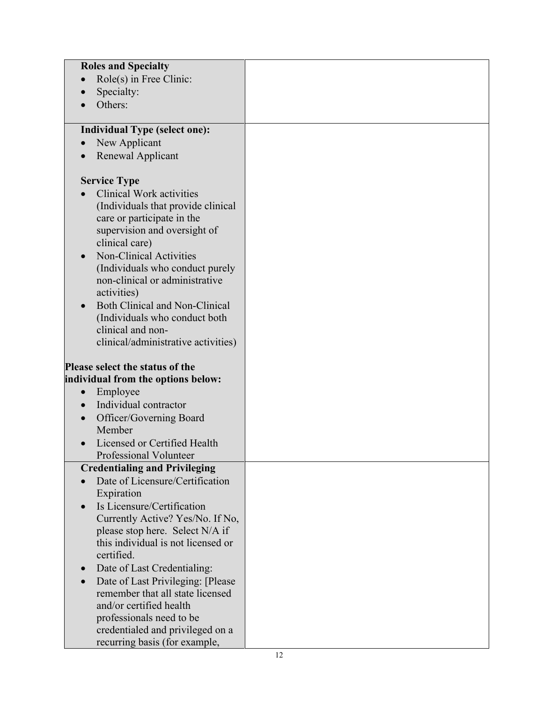| <b>Roles and Specialty</b>                                                              |  |
|-----------------------------------------------------------------------------------------|--|
| Role(s) in Free Clinic:                                                                 |  |
| Specialty:                                                                              |  |
| Others:                                                                                 |  |
|                                                                                         |  |
| <b>Individual Type (select one):</b>                                                    |  |
| New Applicant<br>$\bullet$                                                              |  |
| Renewal Applicant                                                                       |  |
|                                                                                         |  |
| <b>Service Type</b>                                                                     |  |
| <b>Clinical Work activities</b>                                                         |  |
| (Individuals that provide clinical                                                      |  |
| care or participate in the                                                              |  |
| supervision and oversight of                                                            |  |
| clinical care)                                                                          |  |
| Non-Clinical Activities<br>$\bullet$                                                    |  |
| (Individuals who conduct purely                                                         |  |
| non-clinical or administrative                                                          |  |
| activities)                                                                             |  |
| <b>Both Clinical and Non-Clinical</b><br>$\bullet$                                      |  |
| (Individuals who conduct both                                                           |  |
| clinical and non-                                                                       |  |
| clinical/administrative activities)                                                     |  |
| Please select the status of the                                                         |  |
| individual from the options below:                                                      |  |
| Employee<br>$\bullet$                                                                   |  |
| Individual contractor<br>$\bullet$                                                      |  |
| Officer/Governing Board<br>$\bullet$                                                    |  |
| Member                                                                                  |  |
| Licensed or Certified Health                                                            |  |
| Professional Volunteer                                                                  |  |
| <b>Credentialing and Privileging</b>                                                    |  |
| Date of Licensure/Certification                                                         |  |
| Expiration                                                                              |  |
| Is Licensure/Certification                                                              |  |
| Currently Active? Yes/No. If No,                                                        |  |
| please stop here. Select N/A if                                                         |  |
| this individual is not licensed or                                                      |  |
| certified.                                                                              |  |
| Date of Last Credentialing:<br>$\bullet$                                                |  |
| Date of Last Privileging: [Please]                                                      |  |
|                                                                                         |  |
|                                                                                         |  |
|                                                                                         |  |
|                                                                                         |  |
| remember that all state licensed<br>and/or certified health<br>professionals need to be |  |
| credentialed and privileged on a<br>recurring basis (for example,                       |  |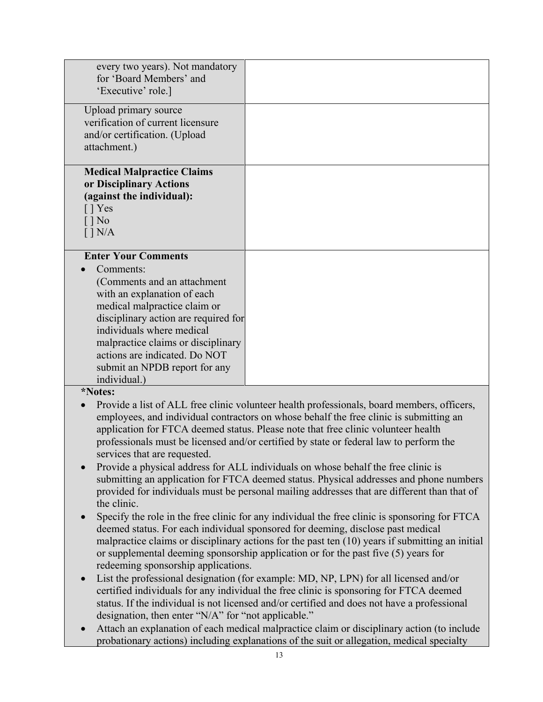| every two years). Not mandatory<br>for 'Board Members' and<br>'Executive' role.]                                                                                                                                                                                                                                                   |                                                                                                                                                                                                                                                                                                                                                                                                                                                                                                                                                                                                                                                                                                                                                                                                                                                                                                                                                                                                                                |
|------------------------------------------------------------------------------------------------------------------------------------------------------------------------------------------------------------------------------------------------------------------------------------------------------------------------------------|--------------------------------------------------------------------------------------------------------------------------------------------------------------------------------------------------------------------------------------------------------------------------------------------------------------------------------------------------------------------------------------------------------------------------------------------------------------------------------------------------------------------------------------------------------------------------------------------------------------------------------------------------------------------------------------------------------------------------------------------------------------------------------------------------------------------------------------------------------------------------------------------------------------------------------------------------------------------------------------------------------------------------------|
| Upload primary source<br>verification of current licensure<br>and/or certification. (Upload<br>attachment.)                                                                                                                                                                                                                        |                                                                                                                                                                                                                                                                                                                                                                                                                                                                                                                                                                                                                                                                                                                                                                                                                                                                                                                                                                                                                                |
| <b>Medical Malpractice Claims</b><br>or Disciplinary Actions<br>(against the individual):<br>$\lceil \cdot \rceil$ Yes<br>$\lceil \cdot \rceil$ No<br>$\lceil$ $\rceil$ N/A                                                                                                                                                        |                                                                                                                                                                                                                                                                                                                                                                                                                                                                                                                                                                                                                                                                                                                                                                                                                                                                                                                                                                                                                                |
| <b>Enter Your Comments</b><br>Comments:<br>(Comments and an attachment<br>with an explanation of each<br>medical malpractice claim or<br>disciplinary action are required for<br>individuals where medical<br>malpractice claims or disciplinary<br>actions are indicated. Do NOT<br>submit an NPDB report for any<br>individual.) |                                                                                                                                                                                                                                                                                                                                                                                                                                                                                                                                                                                                                                                                                                                                                                                                                                                                                                                                                                                                                                |
| *Notes:<br>services that are requested.<br>$\bullet$<br>the clinic.<br>$\bullet$                                                                                                                                                                                                                                                   | Provide a list of ALL free clinic volunteer health professionals, board members, officers,<br>employees, and individual contractors on whose behalf the free clinic is submitting an<br>application for FTCA deemed status. Please note that free clinic volunteer health<br>professionals must be licensed and/or certified by state or federal law to perform the<br>Provide a physical address for ALL individuals on whose behalf the free clinic is<br>submitting an application for FTCA deemed status. Physical addresses and phone numbers<br>provided for individuals must be personal mailing addresses that are different than that of<br>Specify the role in the free clinic for any individual the free clinic is sponsoring for FTCA<br>deemed status. For each individual sponsored for deeming, disclose past medical<br>malpractice claims or disciplinary actions for the past ten (10) years if submitting an initial<br>or supplemental deeming sponsorship application or for the past five (5) years for |
| redeeming sponsorship applications.<br>$\bullet$<br>designation, then enter "N/A" for "not applicable."<br>$\bullet$                                                                                                                                                                                                               | List the professional designation (for example: MD, NP, LPN) for all licensed and/or<br>certified individuals for any individual the free clinic is sponsoring for FTCA deemed<br>status. If the individual is not licensed and/or certified and does not have a professional<br>Attach an explanation of each medical malpractice claim or disciplinary action (to include<br>probationary actions) including explanations of the suit or allegation, medical specialty                                                                                                                                                                                                                                                                                                                                                                                                                                                                                                                                                       |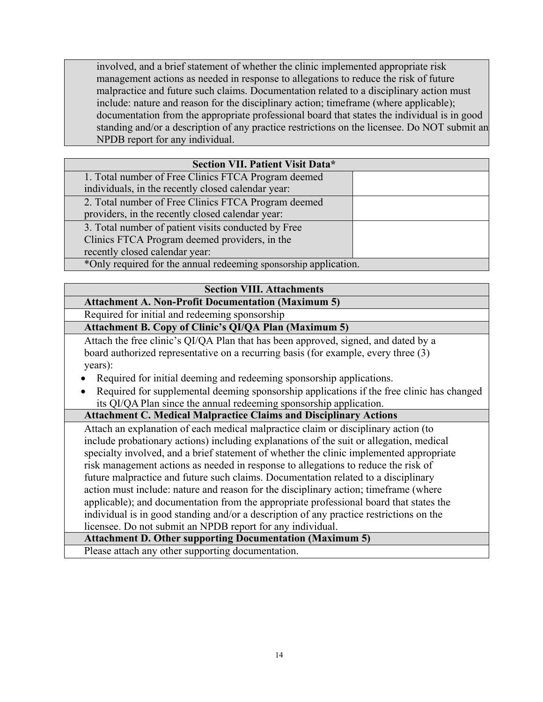involved, and a brief statement of whether the clinic implemented appropriate risk management actions as needed in response to allegations to reduce the risk of future malpractice and future such claims. Documentation related to a disciplinary action must include: nature and reason for the disciplinary action; timeframe (where applicable); documentation from the appropriate professional board that states the individual is in good standing and/or a description of any practice restrictions on the licensee. Do NOT submit an NPDB report for any individual.

| Section VII. Patient Visit Data*                                 |  |
|------------------------------------------------------------------|--|
| 1. Total number of Free Clinics FTCA Program deemed              |  |
| individuals, in the recently closed calendar year:               |  |
| 2. Total number of Free Clinics FTCA Program deemed              |  |
| providers, in the recently closed calendar year:                 |  |
| 3. Total number of patient visits conducted by Free              |  |
| Clinics FTCA Program deemed providers, in the                    |  |
| recently closed calendar year:                                   |  |
| *Only required for the annual redeeming sponsorship application. |  |

### **Section VIII. Attachments**

## **Attachment A. Non-Profit Documentation (Maximum 5)**

Required for initial and redeeming sponsorship

## **Attachment B. Copy of Clinic's QI/QA Plan (Maximum 5)**

Attach the free clinic's QI/QA Plan that has been approved, signed, and dated by a board authorized representative on a recurring basis (for example, every three (3) years):

- Required for initial deeming and redeeming sponsorship applications.
- Required for supplemental deeming sponsorship applications if the free clinic has changed its QI/QA Plan since the annual redeeming sponsorship application.

## **Attachment C. Medical Malpractice Claims and Disciplinary Actions**

Attach an explanation of each medical malpractice claim or disciplinary action (to include probationary actions) including explanations of the suit or allegation, medical specialty involved, and a brief statement of whether the clinic implemented appropriate risk management actions as needed in response to allegations to reduce the risk of future malpractice and future such claims. Documentation related to a disciplinary action must include: nature and reason for the disciplinary action; timeframe (where applicable); and documentation from the appropriate professional board that states the individual is in good standing and/or a description of any practice restrictions on the licensee. Do not submit an NPDB report for any individual.

### **Attachment D. Other supporting Documentation (Maximum 5)**

Please attach any other supporting documentation.